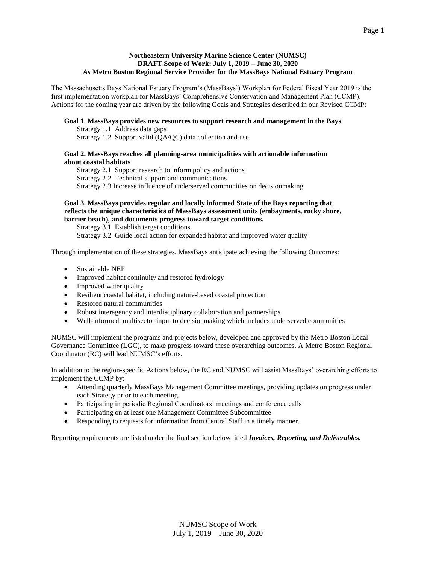### **Northeastern University Marine Science Center (NUMSC) DRAFT Scope of Work: July 1, 2019 – June 30, 2020** *As* **Metro Boston Regional Service Provider for the MassBays National Estuary Program**

The Massachusetts Bays National Estuary Program's (MassBays') Workplan for Federal Fiscal Year 2019 is the first implementation workplan for MassBays' Comprehensive Conservation and Management Plan (CCMP). Actions for the coming year are driven by the following Goals and Strategies described in our Revised CCMP:

### **Goal 1. MassBays provides new resources to support research and management in the Bays.**

Strategy 1.1 Address data gaps Strategy 1.2 Support valid (QA/QC) data collection and use

#### **Goal 2. MassBays reaches all planning-area municipalities with actionable information about coastal habitats**

Strategy 2.1 Support research to inform policy and actions Strategy 2.2 Technical support and communications Strategy 2.3 Increase influence of underserved communities on decisionmaking

#### **Goal 3. MassBays provides regular and locally informed State of the Bays reporting that reflects the unique characteristics of MassBays assessment units (embayments, rocky shore, barrier beach), and documents progress toward target conditions.**

Strategy 3.1 Establish target conditions Strategy 3.2 Guide local action for expanded habitat and improved water quality

Through implementation of these strategies, MassBays anticipate achieving the following Outcomes:

- Sustainable NEP
- Improved habitat continuity and restored hydrology
- Improved water quality
- Resilient coastal habitat, including nature-based coastal protection
- Restored natural communities
- Robust interagency and interdisciplinary collaboration and partnerships
- Well-informed, multisector input to decisionmaking which includes underserved communities

NUMSC will implement the programs and projects below, developed and approved by the Metro Boston Local Governance Committee (LGC), to make progress toward these overarching outcomes. A Metro Boston Regional Coordinator (RC) will lead NUMSC's efforts.

In addition to the region-specific Actions below, the RC and NUMSC will assist MassBays' overarching efforts to implement the CCMP by:

- Attending quarterly MassBays Management Committee meetings, providing updates on progress under each Strategy prior to each meeting.
- Participating in periodic Regional Coordinators' meetings and conference calls
- Participating on at least one Management Committee Subcommittee
- Responding to requests for information from Central Staff in a timely manner.

Reporting requirements are listed under the final section below titled *Invoices, Reporting, and Deliverables.*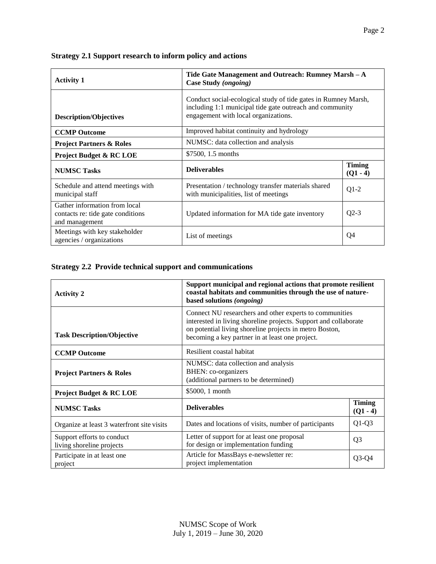| Strategy 2.1 Support research to inform policy and actions |
|------------------------------------------------------------|
|------------------------------------------------------------|

| <b>Activity 1</b>                                                                    | Tide Gate Management and Outreach: Rumney Marsh $-A$<br>Case Study (ongoing)                                                                                       |                             |
|--------------------------------------------------------------------------------------|--------------------------------------------------------------------------------------------------------------------------------------------------------------------|-----------------------------|
| <b>Description/Objectives</b>                                                        | Conduct social-ecological study of tide gates in Rumney Marsh,<br>including 1:1 municipal tide gate outreach and community<br>engagement with local organizations. |                             |
| <b>CCMP Outcome</b>                                                                  | Improved habitat continuity and hydrology                                                                                                                          |                             |
| <b>Project Partners &amp; Roles</b>                                                  | NUMSC: data collection and analysis                                                                                                                                |                             |
| <b>Project Budget &amp; RC LOE</b>                                                   | \$7500, 1.5 months                                                                                                                                                 |                             |
| <b>NUMSC Tasks</b>                                                                   | <b>Deliverables</b>                                                                                                                                                | <b>Timing</b><br>$(Q1 - 4)$ |
| Schedule and attend meetings with<br>municipal staff                                 | Presentation / technology transfer materials shared<br>with municipalities, list of meetings                                                                       | $Q1-2$                      |
| Gather information from local<br>contacts re: tide gate conditions<br>and management | Updated information for MA tide gate inventory                                                                                                                     | $Q2-3$                      |
| Meetings with key stakeholder<br>agencies / organizations                            | List of meetings                                                                                                                                                   | Q4                          |

# **Strategy 2.2 Provide technical support and communications**

| <b>Activity 2</b>                                       | Support municipal and regional actions that promote resilient<br>coastal habitats and communities through the use of nature-<br>based solutions (ongoing)                                                                                 |                             |
|---------------------------------------------------------|-------------------------------------------------------------------------------------------------------------------------------------------------------------------------------------------------------------------------------------------|-----------------------------|
| <b>Task Description/Objective</b>                       | Connect NU researchers and other experts to communities<br>interested in living shoreline projects. Support and collaborate<br>on potential living shoreline projects in metro Boston,<br>becoming a key partner in at least one project. |                             |
| <b>CCMP Outcome</b>                                     | Resilient coastal habitat                                                                                                                                                                                                                 |                             |
| <b>Project Partners &amp; Roles</b>                     | NUMSC: data collection and analysis<br>BHEN: co-organizers<br>(additional partners to be determined)                                                                                                                                      |                             |
| <b>Project Budget &amp; RC LOE</b>                      | \$5000, 1 month                                                                                                                                                                                                                           |                             |
| <b>NUMSC Tasks</b>                                      | <b>Deliverables</b>                                                                                                                                                                                                                       | <b>Timing</b><br>$(Q1 - 4)$ |
| Organize at least 3 waterfront site visits              | Dates and locations of visits, number of participants                                                                                                                                                                                     | $Q1-Q3$                     |
| Support efforts to conduct<br>living shoreline projects | Letter of support for at least one proposal<br>for design or implementation funding                                                                                                                                                       | Q <sub>3</sub>              |
| Participate in at least one.<br>project                 | Article for MassBays e-newsletter re:<br>project implementation                                                                                                                                                                           | $Q3-Q4$                     |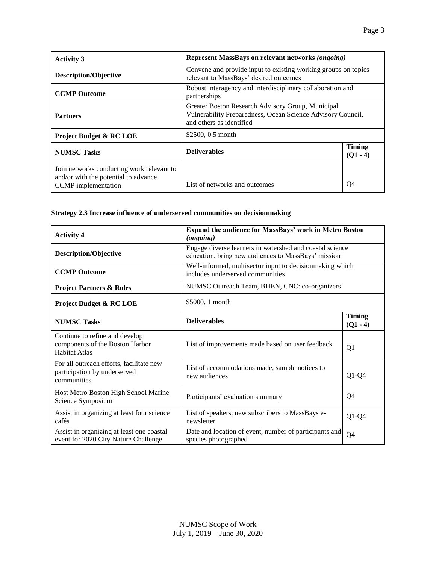| <b>Activity 3</b>                                                                                               | Represent MassBays on relevant networks (ongoing)                                                                                            |                             |
|-----------------------------------------------------------------------------------------------------------------|----------------------------------------------------------------------------------------------------------------------------------------------|-----------------------------|
| <b>Description/Objective</b>                                                                                    | Convene and provide input to existing working groups on topics<br>relevant to MassBays' desired outcomes                                     |                             |
| <b>CCMP Outcome</b>                                                                                             | Robust interagency and interdisciplinary collaboration and<br>partnerships                                                                   |                             |
| <b>Partners</b>                                                                                                 | Greater Boston Research Advisory Group, Municipal<br>Vulnerability Preparedness, Ocean Science Advisory Council,<br>and others as identified |                             |
| <b>Project Budget &amp; RC LOE</b>                                                                              | \$2500, 0.5 month                                                                                                                            |                             |
| <b>NUMSC Tasks</b>                                                                                              | <b>Deliverables</b>                                                                                                                          | <b>Timing</b><br>$(Q1 - 4)$ |
| Join networks conducting work relevant to<br>and/or with the potential to advance<br><b>CCMP</b> implementation | List of networks and outcomes                                                                                                                | Q4                          |

## **Strategy 2.3 Increase influence of underserved communities on decisionmaking**

| <b>Activity 4</b>                                                                         | Expand the audience for MassBays' work in Metro Boston<br>(ongoing)                                             |                             |
|-------------------------------------------------------------------------------------------|-----------------------------------------------------------------------------------------------------------------|-----------------------------|
| <b>Description/Objective</b>                                                              | Engage diverse learners in watershed and coastal science<br>education, bring new audiences to MassBays' mission |                             |
| <b>CCMP Outcome</b>                                                                       | Well-informed, multisector input to decisionmaking which<br>includes underserved communities                    |                             |
| <b>Project Partners &amp; Roles</b>                                                       | NUMSC Outreach Team, BHEN, CNC: co-organizers                                                                   |                             |
| <b>Project Budget &amp; RC LOE</b>                                                        | \$5000, 1 month                                                                                                 |                             |
| <b>NUMSC Tasks</b>                                                                        | <b>Deliverables</b>                                                                                             | <b>Timing</b><br>$(Q1 - 4)$ |
| Continue to refine and develop<br>components of the Boston Harbor<br><b>Habitat Atlas</b> | List of improvements made based on user feedback                                                                | Q1                          |
| For all outreach efforts, facilitate new<br>participation by underserved<br>communities   | List of accommodations made, sample notices to<br>new audiences                                                 | $Q1-Q4$                     |
| Host Metro Boston High School Marine<br>Science Symposium                                 | Participants' evaluation summary                                                                                | Q4                          |
| Assist in organizing at least four science<br>cafés                                       | List of speakers, new subscribers to MassBays e-<br>newsletter                                                  | $Q1-Q4$                     |
| Assist in organizing at least one coastal<br>event for 2020 City Nature Challenge         | Date and location of event, number of participants and<br>species photographed                                  | Q4                          |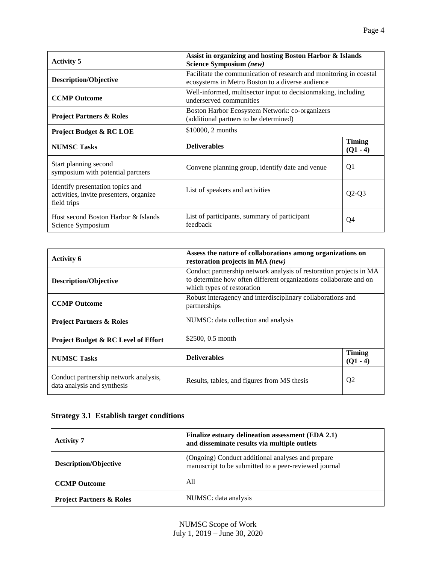| <b>Activity 5</b>                                                                          | Assist in organizing and hosting Boston Harbor & Islands<br>Science Symposium (new)                                    |                             |
|--------------------------------------------------------------------------------------------|------------------------------------------------------------------------------------------------------------------------|-----------------------------|
| <b>Description/Objective</b>                                                               | Facilitate the communication of research and monitoring in coastal<br>ecosystems in Metro Boston to a diverse audience |                             |
| <b>CCMP Outcome</b>                                                                        | Well-informed, multisector input to decision making, including<br>underserved communities                              |                             |
| <b>Project Partners &amp; Roles</b>                                                        | Boston Harbor Ecosystem Network: co-organizers<br>(additional partners to be determined)                               |                             |
| <b>Project Budget &amp; RC LOE</b>                                                         | \$10000, 2 months                                                                                                      |                             |
| <b>NUMSC Tasks</b>                                                                         | <b>Deliverables</b>                                                                                                    | <b>Timing</b><br>$(Q1 - 4)$ |
| Start planning second<br>symposium with potential partners                                 | Convene planning group, identify date and venue                                                                        | Q1                          |
| Identify presentation topics and<br>activities, invite presenters, organize<br>field trips | List of speakers and activities                                                                                        | $Q2-Q3$                     |
| Host second Boston Harbor & Islands<br>Science Symposium                                   | List of participants, summary of participant<br>feedback                                                               | Q4                          |

| <b>Activity 6</b>                                                    | Assess the nature of collaborations among organizations on<br>restoration projects in MA (new)                                                                        |                             |
|----------------------------------------------------------------------|-----------------------------------------------------------------------------------------------------------------------------------------------------------------------|-----------------------------|
| <b>Description/Objective</b>                                         | Conduct partnership network analysis of restoration projects in MA<br>to determine how often different organizations collaborate and on<br>which types of restoration |                             |
| <b>CCMP</b> Outcome                                                  | Robust interagency and interdisciplinary collaborations and<br>partnerships                                                                                           |                             |
| <b>Project Partners &amp; Roles</b>                                  | NUMSC: data collection and analysis                                                                                                                                   |                             |
| <b>Project Budget &amp; RC Level of Effort</b>                       | \$2500, 0.5 month                                                                                                                                                     |                             |
| <b>NUMSC Tasks</b>                                                   | <b>Deliverables</b>                                                                                                                                                   | <b>Timing</b><br>$(Q1 - 4)$ |
| Conduct partnership network analysis,<br>data analysis and synthesis | Results, tables, and figures from MS thesis                                                                                                                           | Q <sub>2</sub>              |

# **Strategy 3.1 Establish target conditions**

| <b>Activity 7</b>                   | Finalize estuary delineation assessment (EDA 2.1)<br>and disseminate results via multiple outlets          |
|-------------------------------------|------------------------------------------------------------------------------------------------------------|
| <b>Description/Objective</b>        | (Ongoing) Conduct additional analyses and prepare<br>manuscript to be submitted to a peer-reviewed journal |
| <b>CCMP Outcome</b>                 | All                                                                                                        |
| <b>Project Partners &amp; Roles</b> | NUMSC: data analysis                                                                                       |